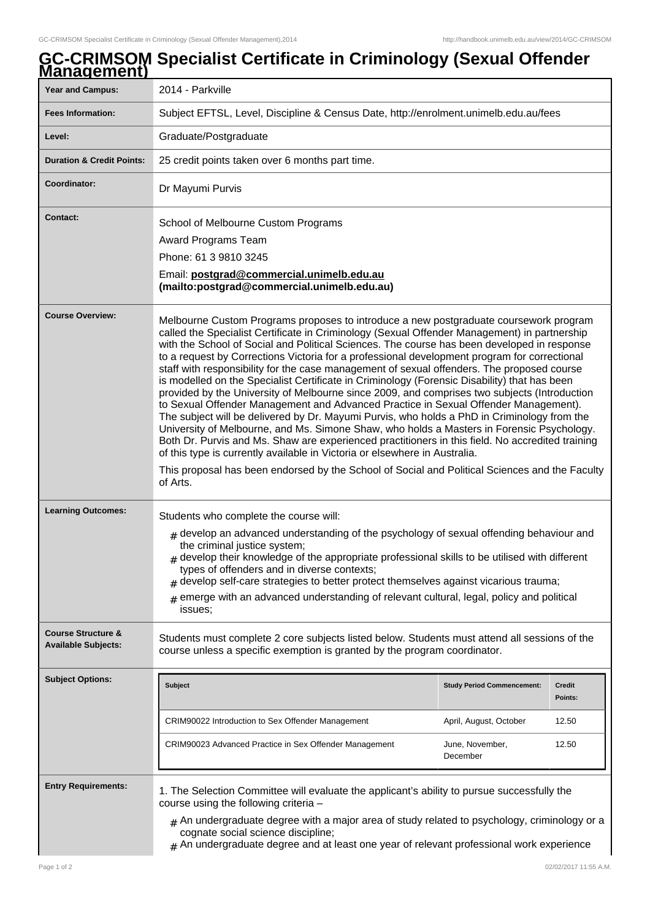## **GC-CRIMSOM Specialist Certificate in Criminology (Sexual Offender Management) Year and Campus:** 2014 - Parkville **Fees Information:** [Subject EFTSL, Level, Discipline & Census Date, http://enrolment.unimelb.edu.au/fees](http://enrolment.unimelb.edu.au/fees) Level: Graduate/Postgraduate **Duration & Credit Points:** 25 credit points taken over 6 months part time. **Coordinator: Dr Mayumi Purvis Contact:** School of Melbourne Custom Programs Award Programs Team Phone: 61 3 9810 3245 Email: **postgrad@commercial.unimelb.edu.au (mailto:postgrad@commercial.unimelb.edu.au) Course Overview:** Melbourne Custom Programs proposes to introduce a new postgraduate coursework program called the Specialist Certificate in Criminology (Sexual Offender Management) in partnership with the School of Social and Political Sciences. The course has been developed in response to a request by Corrections Victoria for a professional development program for correctional staff with responsibility for the case management of sexual offenders. The proposed course is modelled on the Specialist Certificate in Criminology (Forensic Disability) that has been provided by the University of Melbourne since 2009, and comprises two subjects (Introduction to Sexual Offender Management and Advanced Practice in Sexual Offender Management). The subject will be delivered by Dr. Mayumi Purvis, who holds a PhD in Criminology from the University of Melbourne, and Ms. Simone Shaw, who holds a Masters in Forensic Psychology. Both Dr. Purvis and Ms. Shaw are experienced practitioners in this field. No accredited training of this type is currently available in Victoria or elsewhere in Australia. This proposal has been endorsed by the School of Social and Political Sciences and the Faculty of Arts. Learning Outcomes: Students who complete the course will:  ${}_{\#}$  develop an advanced understanding of the psychology of sexual offending behaviour and the criminal justice system;  ${}_{\#}$  develop their knowledge of the appropriate professional skills to be utilised with different types of offenders and in diverse contexts; # develop self-care strategies to better protect themselves against vicarious trauma;  $_{\rm \#}$  emerge with an advanced understanding of relevant cultural, legal, policy and political issues; **Course Structure & Available Subjects:** Students must complete 2 core subjects listed below. Students must attend all sessions of the course unless a specific exemption is granted by the program coordinator. **Subject Options: Subject Study Period Commencement: Credit Points:** CRIM90022 Introduction to Sex Offender Management April, August, October 12.50 CRIM90023 Advanced Practice in Sex Offender Management June, November, December 12.50 **Entry Requirements:** 1. The Selection Committee will evaluate the applicant's ability to pursue successfully the course using the following criteria –  $#$  An undergraduate degree with a major area of study related to psychology, criminology or a cognate social science discipline;

## $#$  An undergraduate degree and at least one year of relevant professional work experience